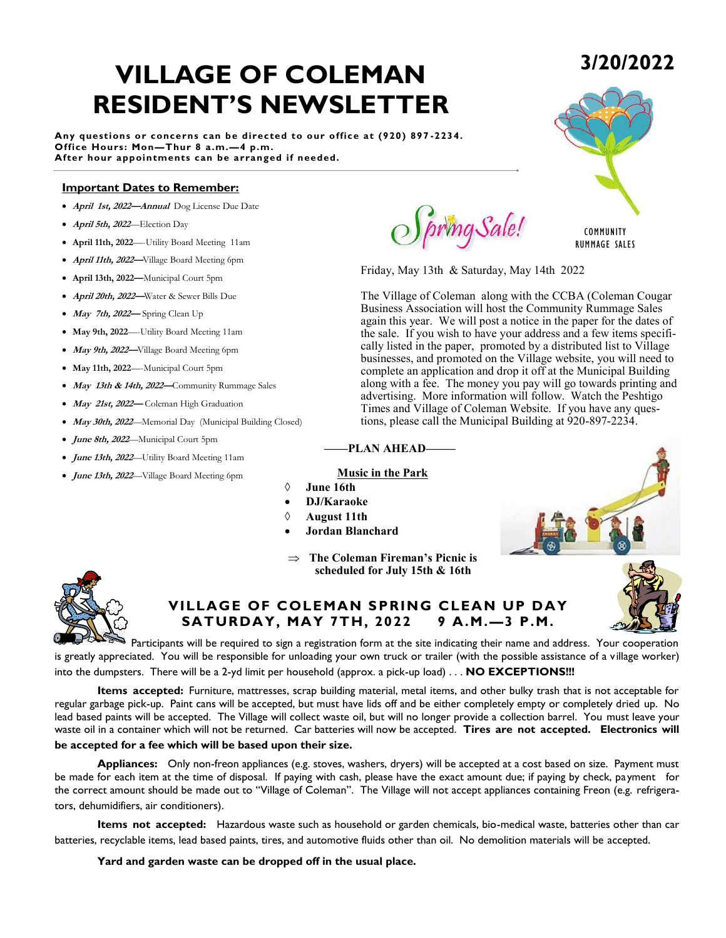# **VILLAGE OF COLEMAN RESIDENT'S NEWSLETTER**

**Any questions or concerns can be directed to our office at (920) 897 -2234. Office Hours: Mon—Thur 8 a.m.—4 p.m. After hour appointments can be arranged if needed.**

### **Important Dates to Remember:**

- **April 1st, 2022—Annual** Dog License Due Date
- **April 5th, 2022**—Election Day
- **April 11th, 2022**—-Utility Board Meeting 11am
- **April 11th, 2022—**Village Board Meeting 6pm
- **April 13th, 2022—**Municipal Court 5pm
- **April 20th, 2022—**Water & Sewer Bills Due
- **May 7th, 2022—** Spring Clean Up
- **May 9th, 2022**—-Utility Board Meeting 11am
- **May 9th, 2022—**Village Board Meeting 6pm
- **May 11th, 2022**—-Municipal Court 5pm
- **May 13th & 14th, 2022—**Community Rummage Sales
- **May 21st, 2022—** Coleman High Graduation
- **May 30th, 2022***—*Memorial Day (Municipal Building Closed)
- **June 8th, 2022**—Municipal Court 5pm
- **June 13th, 2022**—Utility Board Meeting 11am
- **June 13th, 2022**—Village Board Meeting 6pm

pring Sale!

Friday, May 13th & Saturday, May 14th 2022

The Village of Coleman along with the CCBA (Coleman Cougar Business Association will host the Community Rummage Sales again this year. We will post a notice in the paper for the dates of the sale. If you wish to have your address and a few items specifically listed in the paper, promoted by a distributed list to Village businesses, and promoted on the Village website, you will need to complete an application and drop it off at the Municipal Building along with a fee. The money you pay will go towards printing and advertising. More information will follow. Watch the Peshtigo Times and Village of Coleman Website. If you have any questions, please call the Municipal Building at 920-897-2234.

### **——PLAN AHEAD—–—**

### **Music in the Park**

- **June 16th**
- **DJ/Karaoke**
- **August 11th**
- **Jordan Blanchard**
- $\Rightarrow$  The Coleman Fireman's Picnic is **scheduled for July 15th & 16th**



### **VILLAGE OF COLEMAN SPRING CLEAN UP DAY SATURDAY, MAY 7TH, 2022 9 A.M.—3 P.M.**

Participants will be required to sign a registration form at the site indicating their name and address. Your cooperation is greatly appreciated. You will be responsible for unloading your own truck or trailer (with the possible assistance of a village worker) into the dumpsters. There will be a 2-yd limit per household (approx. a pick-up load) . . . **NO EXCEPTIONS!!!**

**Items accepted:** Furniture, mattresses, scrap building material, metal items, and other bulky trash that is not acceptable for regular garbage pick-up. Paint cans will be accepted, but must have lids off and be either completely empty or completely dried up. No lead based paints will be accepted. The Village will collect waste oil, but will no longer provide a collection barrel. You must leave your waste oil in a container which will not be returned. Car batteries will now be accepted. **Tires are not accepted. Electronics will be accepted for a fee which will be based upon their size.**

**Appliances:** Only non-freon appliances (e.g. stoves, washers, dryers) will be accepted at a cost based on size. Payment must be made for each item at the time of disposal. If paying with cash, please have the exact amount due; if paying by check, payment for the correct amount should be made out to "Village of Coleman". The Village will not accept appliances containing Freon (e.g. refrigerators, dehumidifiers, air conditioners).

**Items not accepted:** Hazardous waste such as household or garden chemicals, bio-medical waste, batteries other than car batteries, recyclable items, lead based paints, tires, and automotive fluids other than oil. No demolition materials will be accepted.

#### **Yard and garden waste can be dropped off in the usual place.**







## **3/20/2022**